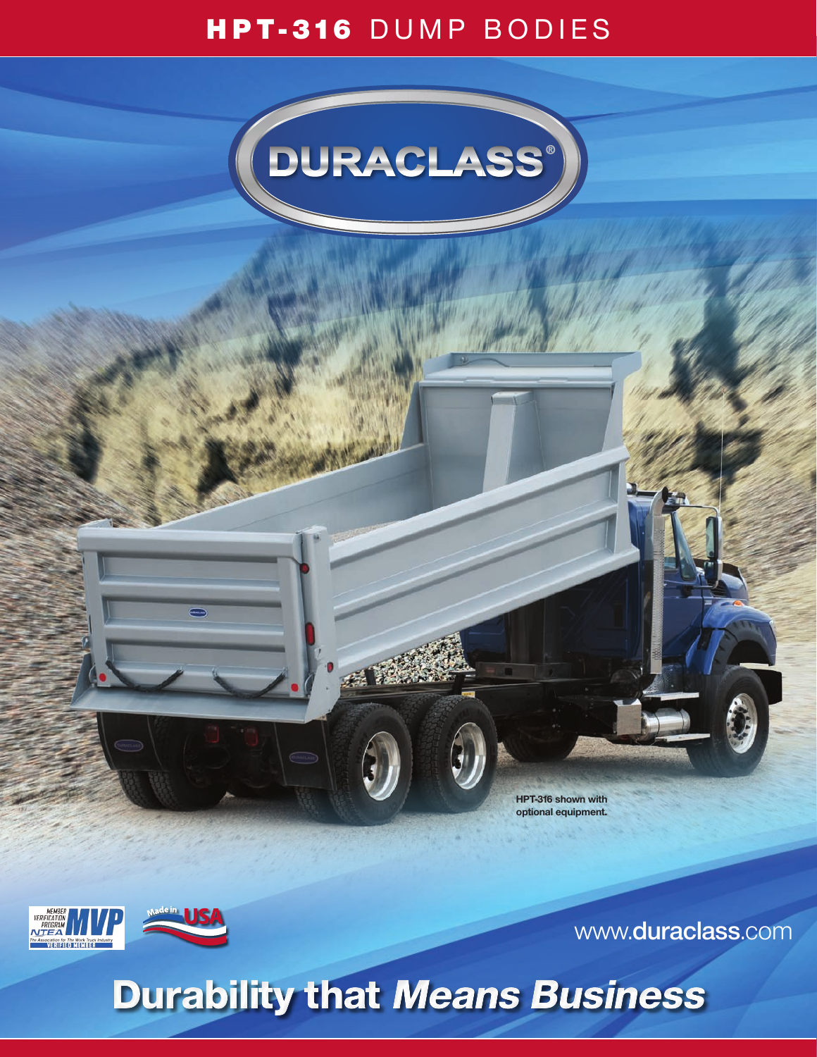### HPT-316 DUMP BODIES



**HPT-316 shown with optional equipment.** 





www.**duraclass**.com

## Durability that Means Business